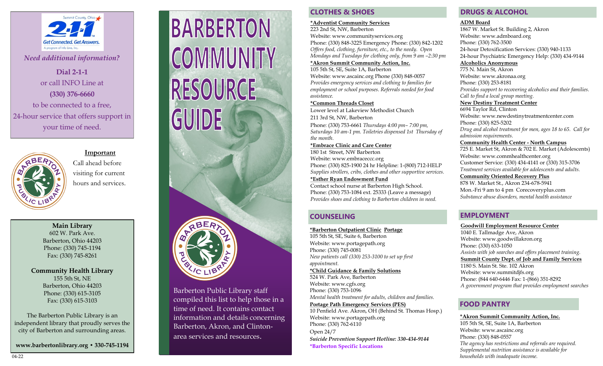

*Need additional information?*

**Dial 2-1-1** or call INFO Line at **(330) 376-6660**  to be connected to a free, 24-hour service that offers support in your time of need.



#### **Important**

Call ahead before visiting for current hours and services.

**Main Library** 602 W. Park Ave. Barberton, Ohio 44203 Phone: (330) 745-1194 Fax: (330) 745-8261

**Community Health Library** 155 5th St, NE Barberton, Ohio 44203 Phone: (330) 615-3105 Fax: (330) 615-3103

The Barberton Public Library is an independent library that proudly serves the city of Barberton and surrounding areas.

**www.barbertonlibrary.org • 330-745-1194** 

# **BARBERTON** COMMUNITY **RESOURCE GUIDE**

Barberton Public Library staff compiled this list to help those in a time of need. It contains contact information and details concerning Barberton, Akron, and Clintonarea services and resources.

# **CLOTHES & SHOES DRUGS & ALCOHOL**

**\*Adventist Community Services**  223 2nd St, NW, Barberton Website: www.communityservices.org Phone: (330) 848-3225 Emergency Phone: (330) 842-1202 *Offers food, clothing, furniture, etc., to the needy. Open Mondays and Tuesdays for clothing only, from 9 am –2:30 pm*

## **\*Akron Summit Community Action, Inc.**

105 5th St, SE, Suite 1A, Barberton Website: www.ascainc.org Phone (330) 848-0057 *Provides emergency services and clothing to families for employment or school purposes. Referrals needed for food assistance.* 

#### **\*Common Threads Closet**

Lower level at Lakeview Methodist Church 211 3rd St, NW, Barberton Phone: (330) 753-6661 *Thursdays 4:00 pm– 7:00 pm, Saturdays 10 am-1 pm. Toiletries dispensed 1st Thursday of the month.*

**\*Embrace Clinic and Care Center**  180 1st Street, NW Barberton Website: www.embraceccc.org Phone: (330) 825-1900 24 hr Helpline: 1-(800) 712-HELP *Supplies strollers, cribs, clothes and other supportive services.*  **\*Esther Ryan Endowment Fund**  Contact school nurse at Barberton High School.

Phone: (330) 753-1084 ext. 25333 (Leave a message) *Provides shoes and clothing to Barberton children in need.* 

# **COUNSELING**

**\*Barberton Outpatient Clinic Portage**  105 5th St, SE, Suite 6, Barberton Website: www.portagepath.org Phone: (330) 745-0081 *New patients call (330) 253-3100 to set up first appointment.*

**\*Child Guidance & Family Solutions**  524 W. Park Ave, Barberton

Website: www.cgfs.org Phone: (330) 753-1096 *Mental health treatment for adults, children and families.* 

# **Portage Path Emergency Services (PES)**

10 Penfield Ave. Akron, OH (Behind St. Thomas Hosp.) Website: www.portagepath.org Phone: (330) 762-6110 Open 24/7 *Suicide Prevention Support Hotline: 330-434-9144* **\*Barberton Specific Locations**

#### **ADM Board**

1867 W. Market St. Building 2, Akron Website: www.admboard.org Phone: (330) 762-3500 24-hour Detoxification Services: (330) 940-1133 24-hour Psychiatric Emergency Help: (330) 434-9144

## **Alcoholics Anonymous**

775 N. Main St, Akron Website: www.akronaa.org Phone: (330) 253-8181 *Provides support to recovering alcoholics and their families. Call to find a local group meeting.*

**New Destiny Treatment Center** 

6694 Taylor Rd, Clinton Website: www.newdestinytreatmentcenter.com Phone: (330) 825-5202 *Drug and alcohol treatment for men, ages 18 to 65. Call for admission requirements.*  **Community Health Center - North Campus** 

725 E. Market St, Akron & 702 E. Market (Adolescents) Website: www.commhealthcenter.org Customer Service: (330) 434-4141 or (330) 315-3706 *Treatment services available for adolescents and adults.*

#### **Community Oriented Recovery Plus**

878 W. Market St., Akron 234-678-5941 Mon.-Fri 9 am to 4 pm Corecoveryplus.com *Substance abuse disorders, mental health assistance*

# **EMPLOYMENT**

**Goodwill Employment Resource Center**  1040 E. Tallmadge Ave, Akron Website: www.goodwillakron.org Phone: (330) 633-1050 *Assists with job searches and offers placement training.* **Summit County Dept. of Job and Family Services**  1180 S. Main St. Ste. 102 Akron Website: www.summitdjfs.org Phone: (844 640-6446 Fax: 1-(866) 351-8292 *A government program that provides employment searches* 

# **FOOD PANTRY**

**\*Akron Summit Community Action, Inc.**  105 5th St, SE, Suite 1A, Barberton Website: www.ascainc.org Phone: (330) 848-0557 *The agency has restrictions and referrals are required. Supplemental nutrition assistance is available for*  04-22 *households with inadequate income.*